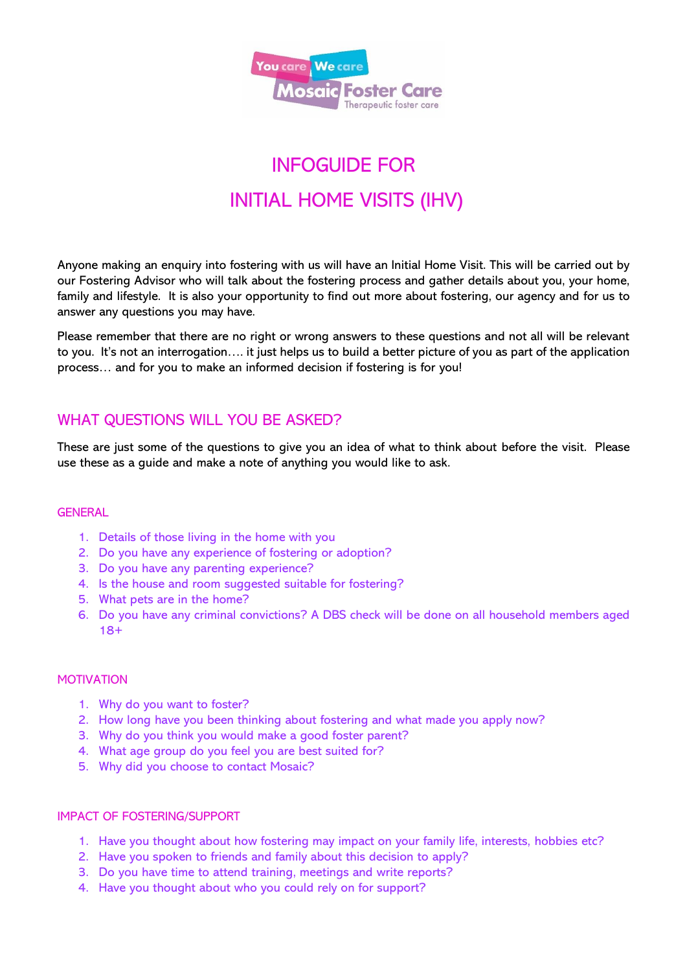

# INFOGUIDE FOR INITIAL HOME VISITS (IHV)

Anyone making an enquiry into fostering with us will have an Initial Home Visit. This will be carried out by our Fostering Advisor who will talk about the fostering process and gather details about you, your home, family and lifestyle. It is also your opportunity to find out more about fostering, our agency and for us to answer any questions you may have.

Please remember that there are no right or wrong answers to these questions and not all will be relevant to you. It's not an interrogation…. it just helps us to build a better picture of you as part of the application process… and for you to make an informed decision if fostering is for you!

## WHAT QUESTIONS WILL YOU BE ASKED?

These are just some of the questions to give you an idea of what to think about before the visit. Please use these as a guide and make a note of anything you would like to ask.

#### **GENERAL**

- 1. Details of those living in the home with you
- 2. Do you have any experience of fostering or adoption?
- 3. Do you have any parenting experience?
- 4. Is the house and room suggested suitable for fostering?
- 5. What pets are in the home?
- 6. Do you have any criminal convictions? A DBS check will be done on all household members aged 18+

#### MOTIVATION

- 1. Why do you want to foster?
- 2. How long have you been thinking about fostering and what made you apply now?
- 3. Why do you think you would make a good foster parent?
- 4. What age group do you feel you are best suited for?
- 5. Why did you choose to contact Mosaic?

#### IMPACT OF FOSTERING/SUPPORT

- 1. Have you thought about how fostering may impact on your family life, interests, hobbies etc?
- 2. Have you spoken to friends and family about this decision to apply?
- 3. Do you have time to attend training, meetings and write reports?
- 4. Have you thought about who you could rely on for support?